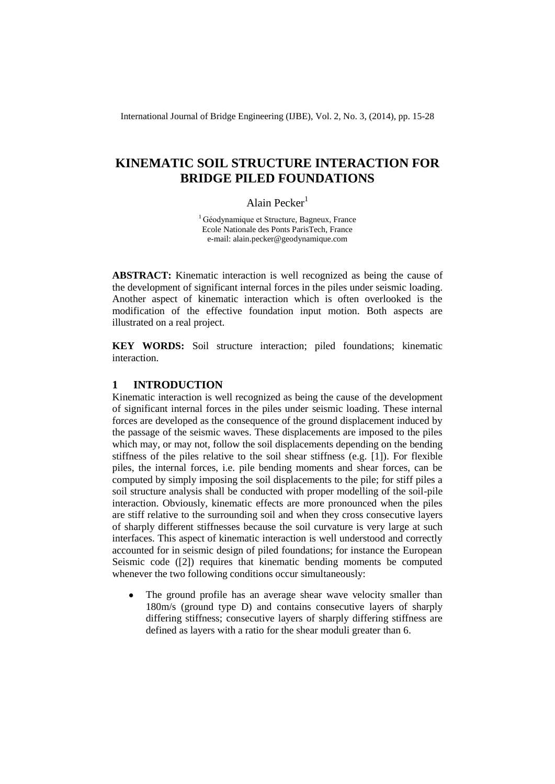International Journal of Bridge Engineering (IJBE), Vol. 2, No. 3, (2014), pp. 15-28

# **KINEMATIC SOIL STRUCTURE INTERACTION FOR BRIDGE PILED FOUNDATIONS**

## Alain Pecker $<sup>1</sup>$ </sup>

<sup>1</sup> Géodynamique et Structure, Bagneux, France Ecole Nationale des Ponts ParisTech, France e-mail: alain.pecker@geodynamique.com

**ABSTRACT:** Kinematic interaction is well recognized as being the cause of the development of significant internal forces in the piles under seismic loading. Another aspect of kinematic interaction which is often overlooked is the modification of the effective foundation input motion. Both aspects are illustrated on a real project.

**KEY WORDS:** Soil structure interaction; piled foundations; kinematic interaction.

# <span id="page-0-0"></span>**1 INTRODUCTION**

Kinematic interaction is well recognized as being the cause of the development of significant internal forces in the piles under seismic loading. These internal forces are developed as the consequence of the ground displacement induced by the passage of the seismic waves. These displacements are imposed to the piles which may, or may not, follow the soil displacements depending on the bending stiffness of the piles relative to the soil shear stiffness (e.g. [\[1\]\)](#page-12-0). For flexible piles, the internal forces, i.e. pile bending moments and shear forces, can be computed by simply imposing the soil displacements to the pile; for stiff piles a soil structure analysis shall be conducted with proper modelling of the soil-pile interaction. Obviously, kinematic effects are more pronounced when the piles are stiff relative to the surrounding soil and when they cross consecutive layers of sharply different stiffnesses because the soil curvature is very large at such interfaces. This aspect of kinematic interaction is well understood and correctly accounted for in seismic design of piled foundations; for instance the European Seismic code [\(\[2\]\)](#page-12-1) requires that kinematic bending moments be computed whenever the two following conditions occur simultaneously:

The ground profile has an average shear wave velocity smaller than 180m/s (ground type D) and contains consecutive layers of sharply differing stiffness; consecutive layers of sharply differing stiffness are defined as layers with a ratio for the shear moduli greater than 6.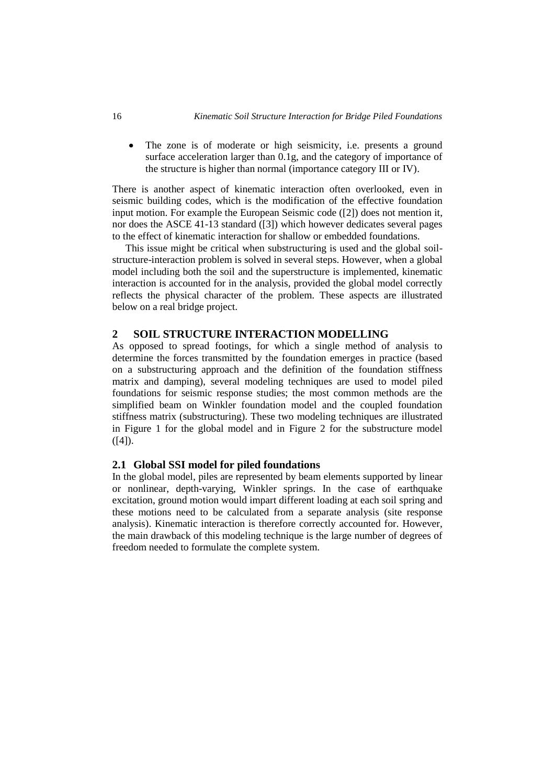The zone is of moderate or high seismicity, i.e. presents a ground  $\bullet$ surface acceleration larger than 0.1g, and the category of importance of the structure is higher than normal (importance category III or IV).

There is another aspect of kinematic interaction often overlooked, even in seismic building codes, which is the modification of the effective foundation input motion. For example the European Seismic code [\(\[2\]\)](#page-12-1) does not mention it, nor does the ASCE 41-13 standard [\(\[3\]\)](#page-12-2) which however dedicates several pages to the effect of kinematic interaction for shallow or embedded foundations.

This issue might be critical when substructuring is used and the global soilstructure-interaction problem is solved in several steps. However, when a global model including both the soil and the superstructure is implemented, kinematic interaction is accounted for in the analysis, provided the global model correctly reflects the physical character of the problem. These aspects are illustrated below on a real bridge project.

### **2 SOIL STRUCTURE INTERACTION MODELLING**

As opposed to spread footings, for which a single method of analysis to determine the forces transmitted by the foundation emerges in practice (based on a substructuring approach and the definition of the foundation stiffness matrix and damping), several modeling techniques are used to model piled foundations for seismic response studies; the most common methods are the simplified beam on Winkler foundation model and the coupled foundation stiffness matrix (substructuring). These two modeling techniques are illustrated in [Figure 1](#page-2-0) for the global model and in [Figure 2](#page-3-0) for the substructure model  $([4])$ .

### **2.1 Global SSI model for piled foundations**

In the global model, piles are represented by beam elements supported by linear or nonlinear, depth-varying, Winkler springs. In the case of earthquake excitation, ground motion would impart different loading at each soil spring and these motions need to be calculated from a separate analysis (site response analysis). Kinematic interaction is therefore correctly accounted for. However, the main drawback of this modeling technique is the large number of degrees of freedom needed to formulate the complete system.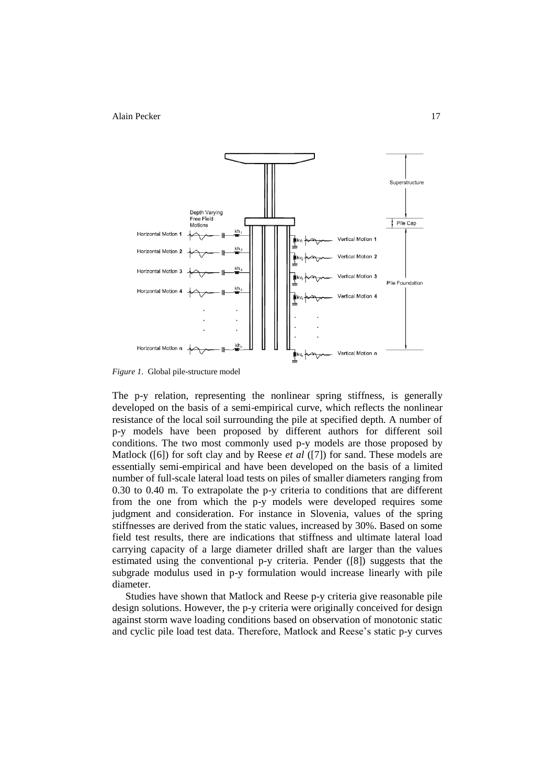

<span id="page-2-0"></span>*Figure 1*. Global pile-structure model

The p-y relation, representing the nonlinear spring stiffness, is generally developed on the basis of a semi-empirical curve, which reflects the nonlinear resistance of the local soil surrounding the pile at specified depth. A number of p-y models have been proposed by different authors for different soil conditions. The two most commonly used p-y models are those proposed by Matlock [\(\[6\]\)](#page-12-4) for soft clay and by Reese *et al* [\(\[7\]\)](#page-12-5) for sand. These models are essentially semi-empirical and have been developed on the basis of a limited number of full-scale lateral load tests on piles of smaller diameters ranging from 0.30 to 0.40 m. To extrapolate the p-y criteria to conditions that are different from the one from which the p-y models were developed requires some judgment and consideration. For instance in Slovenia, values of the spring stiffnesses are derived from the static values, increased by 30%. Based on some field test results, there are indications that stiffness and ultimate lateral load carrying capacity of a large diameter drilled shaft are larger than the values estimated using the conventional p-y criteria. Pender [\(\[8\]\)](#page-12-6) suggests that the subgrade modulus used in p-y formulation would increase linearly with pile diameter.

Studies have shown that Matlock and Reese p-y criteria give reasonable pile design solutions. However, the p-y criteria were originally conceived for design against storm wave loading conditions based on observation of monotonic static and cyclic pile load test data. Therefore, Matlock and Reese's static p-y curves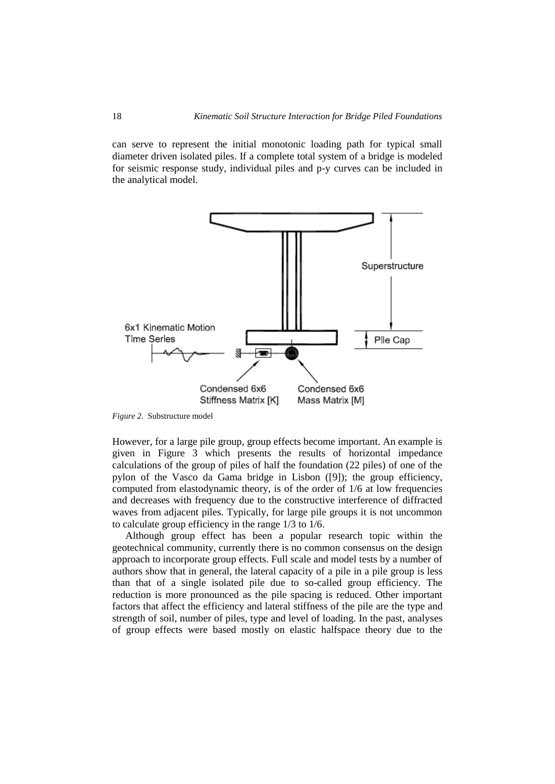can serve to represent the initial monotonic loading path for typical small diameter driven isolated piles. If a complete total system of a bridge is modeled for seismic response study, individual piles and p-y curves can be included in the analytical model.



<span id="page-3-0"></span>*Figure 2*. Substructure model

However, for a large pile group, group effects become important. An example is given in [Figure 3](#page-4-0) which presents the results of horizontal impedance calculations of the group of piles of half the foundation (22 piles) of one of the pylon of the Vasco da Gama bridge in Lisbon [\(\[9\]\)](#page-12-7); the group efficiency, computed from elastodynamic theory, is of the order of 1/6 at low frequencies and decreases with frequency due to the constructive interference of diffracted waves from adjacent piles. Typically, for large pile groups it is not uncommon to calculate group efficiency in the range 1/3 to 1/6.

Although group effect has been a popular research topic within the geotechnical community, currently there is no common consensus on the design approach to incorporate group effects. Full scale and model tests by a number of authors show that in general, the lateral capacity of a pile in a pile group is less than that of a single isolated pile due to so-called group efficiency. The reduction is more pronounced as the pile spacing is reduced. Other important factors that affect the efficiency and lateral stiffness of the pile are the type and strength of soil, number of piles, type and level of loading. In the past, analyses of group effects were based mostly on elastic halfspace theory due to the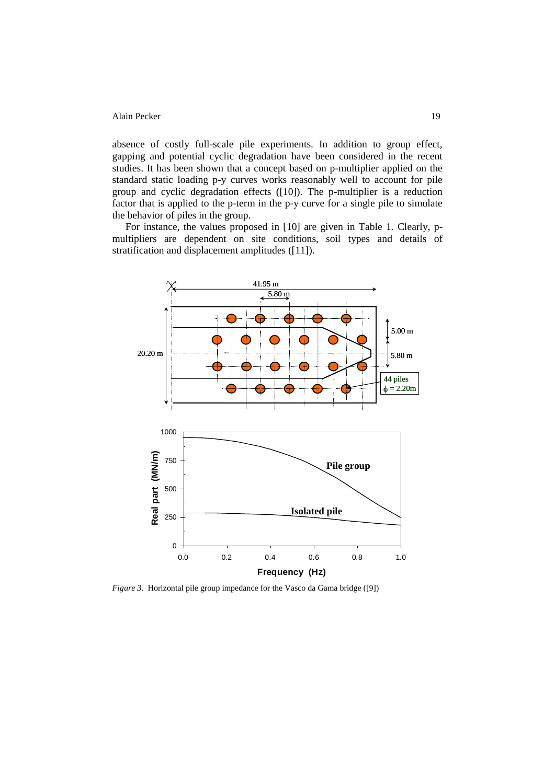absence of costly full-scale pile experiments. In addition to group effect, gapping and potential cyclic degradation have been considered in the recent studies. It has been shown that a concept based on p-multiplier applied on the standard static loading p-y curves works reasonably well to account for pile group and cyclic degradation effects [\(\[10\]\)](#page-12-8). The p-multiplier is a reduction factor that is applied to the p-term in the p-y curve for a single pile to simulate the behavior of piles in the group.

For instance, the values proposed in [\[10\]](#page-12-8) are given in Table 1. Clearly, pmultipliers are dependent on site conditions, soil types and details of stratification and displacement amplitudes [\(\[11\]\)](#page-12-9).



<span id="page-4-0"></span>*Figure 3*. Horizontal pile group impedance for the Vasco da Gama bridge [\(\[9\]\)](#page-12-7)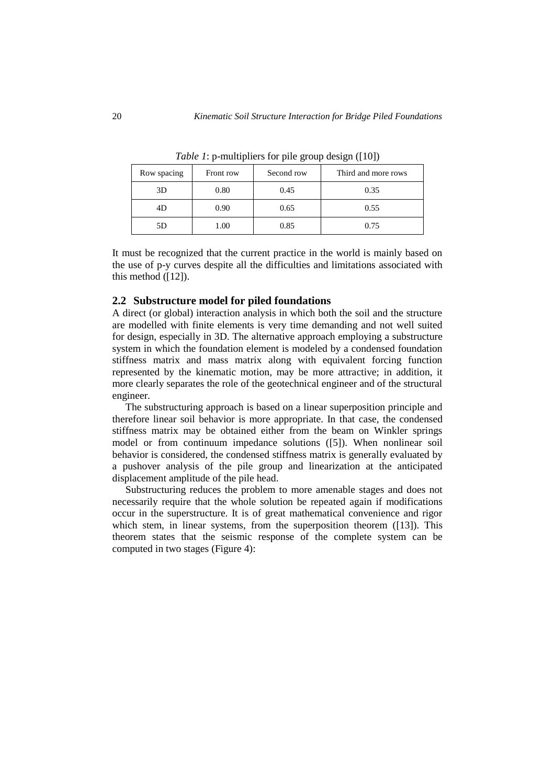| Row spacing | Front row | Second row | Third and more rows |
|-------------|-----------|------------|---------------------|
| 3D          | 0.80      | 0.45       | 0.35                |
| 4D          | 0.90      | 0.65       | 0.55                |
| 5D          | 1.00      | 0.85       | 0.75                |

*Table 1*: p-multipliers for pile group design [\(\[10\]\)](#page-12-8)

It must be recognized that the current practice in the world is mainly based on the use of p-y curves despite all the difficulties and limitations associated with this method [\(\[12\]\)](#page-12-10).

### **2.2 Substructure model for piled foundations**

A direct (or global) interaction analysis in which both the soil and the structure are modelled with finite elements is very time demanding and not well suited for design, especially in 3D. The alternative approach employing a substructure system in which the foundation element is modeled by a condensed foundation stiffness matrix and mass matrix along with equivalent forcing function represented by the kinematic motion, may be more attractive; in addition, it more clearly separates the role of the geotechnical engineer and of the structural engineer.

The substructuring approach is based on a linear superposition principle and therefore linear soil behavior is more appropriate. In that case, the condensed stiffness matrix may be obtained either from the beam on Winkler springs model or from continuum impedance solutions [\(\[5\]\)](#page-12-11). When nonlinear soil behavior is considered, the condensed stiffness matrix is generally evaluated by a pushover analysis of the pile group and linearization at the anticipated displacement amplitude of the pile head.

Substructuring reduces the problem to more amenable stages and does not necessarily require that the whole solution be repeated again if modifications occur in the superstructure. It is of great mathematical convenience and rigor which stem, in linear systems, from the superposition theorem [\(\[13\]\)](#page-12-12). This theorem states that the seismic response of the complete system can be computed in two stages [\(Figure 4\)](#page-6-0):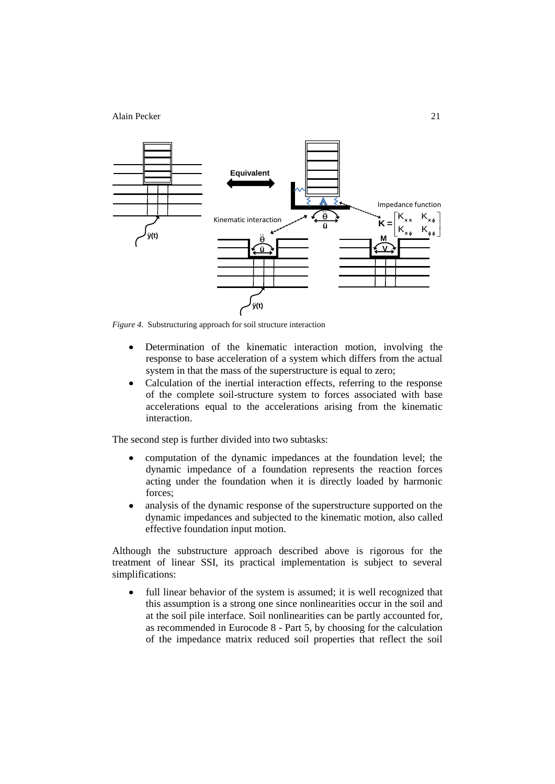

<span id="page-6-0"></span>*Figure 4*. Substructuring approach for soil structure interaction

- Determination of the kinematic interaction motion, involving the  $\bullet$ response to base acceleration of a system which differs from the actual system in that the mass of the superstructure is equal to zero;
- Calculation of the inertial interaction effects, referring to the response  $\bullet$ of the complete soil-structure system to forces associated with base accelerations equal to the accelerations arising from the kinematic interaction.

The second step is further divided into two subtasks:

- $\bullet$ computation of the dynamic impedances at the foundation level; the dynamic impedance of a foundation represents the reaction forces acting under the foundation when it is directly loaded by harmonic forces;
- analysis of the dynamic response of the superstructure supported on the  $\bullet$ dynamic impedances and subjected to the kinematic motion, also called effective foundation input motion.

Although the substructure approach described above is rigorous for the treatment of linear SSI, its practical implementation is subject to several simplifications:

full linear behavior of the system is assumed; it is well recognized that  $\bullet$ this assumption is a strong one since nonlinearities occur in the soil and at the soil pile interface. Soil nonlinearities can be partly accounted for, as recommended in Eurocode 8 - Part 5, by choosing for the calculation of the impedance matrix reduced soil properties that reflect the soil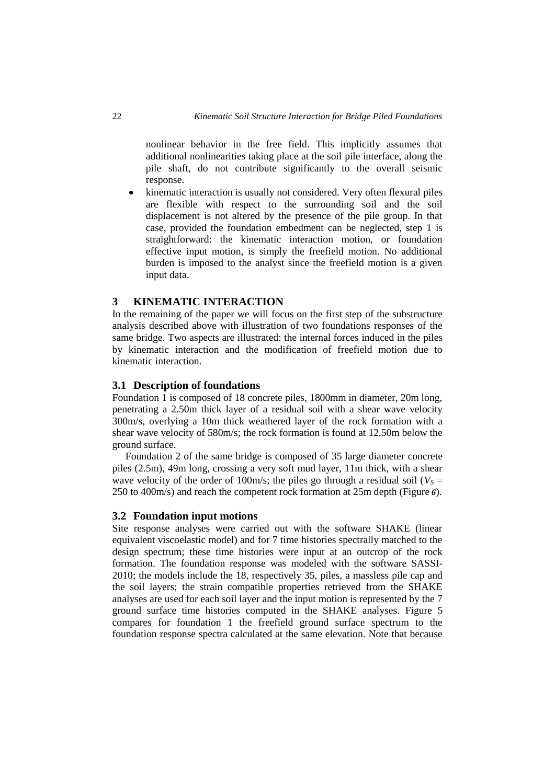nonlinear behavior in the free field. This implicitly assumes that additional nonlinearities taking place at the soil pile interface, along the pile shaft, do not contribute significantly to the overall seismic response.

kinematic interaction is usually not considered. Very often flexural piles  $\bullet$ are flexible with respect to the surrounding soil and the soil displacement is not altered by the presence of the pile group. In that case, provided the foundation embedment can be neglected, step 1 is straightforward: the kinematic interaction motion, or foundation effective input motion, is simply the freefield motion. No additional burden is imposed to the analyst since the freefield motion is a given input data.

# **3 KINEMATIC INTERACTION**

In the remaining of the paper we will focus on the first step of the substructure analysis described above with illustration of two foundations responses of the same bridge. Two aspects are illustrated: the internal forces induced in the piles by kinematic interaction and the modification of freefield motion due to kinematic interaction.

### **3.1 Description of foundations**

Foundation 1 is composed of 18 concrete piles, 1800mm in diameter, 20m long, penetrating a 2.50m thick layer of a residual soil with a shear wave velocity 300m/s, overlying a 10m thick weathered layer of the rock formation with a shear wave velocity of 580m/s; the rock formation is found at 12.50m below the ground surface.

Foundation 2 of the same bridge is composed of 35 large diameter concrete piles (2.5m), 49m long, crossing a very soft mud layer, 11m thick, with a shear wave velocity of the order of 100m/s; the piles go through a residual soil ( $V<sub>S</sub>$  = 250 to 400m/s) and reach the competent rock formation at 25m depth [\(Figure](#page-9-0) *6*).

#### **3.2 Foundation input motions**

Site response analyses were carried out with the software SHAKE (linear equivalent viscoelastic model) and for 7 time histories spectrally matched to the design spectrum; these time histories were input at an outcrop of the rock formation. The foundation response was modeled with the software SASSI-2010; the models include the 18, respectively 35, piles, a massless pile cap and the soil layers; the strain compatible properties retrieved from the SHAKE analyses are used for each soil layer and the input motion is represented by the 7 ground surface time histories computed in the SHAKE analyses. [Figure 5](#page-8-0) compares for foundation 1 the freefield ground surface spectrum to the foundation response spectra calculated at the same elevation. Note that because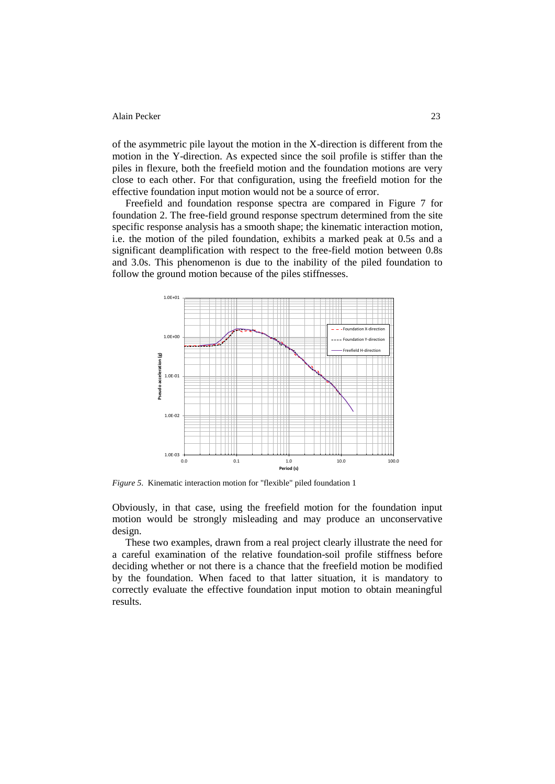of the asymmetric pile layout the motion in the X-direction is different from the motion in the Y-direction. As expected since the soil profile is stiffer than the piles in flexure, both the freefield motion and the foundation motions are very close to each other. For that configuration, using the freefield motion for the effective foundation input motion would not be a source of error.

Freefield and foundation response spectra are compared in [Figure 7](#page-9-1) for foundation 2. The free-field ground response spectrum determined from the site specific response analysis has a smooth shape; the kinematic interaction motion, i.e. the motion of the piled foundation, exhibits a marked peak at 0.5s and a significant deamplification with respect to the free-field motion between 0.8s and 3.0s. This phenomenon is due to the inability of the piled foundation to follow the ground motion because of the piles stiffnesses.



<span id="page-8-0"></span>*Figure 5*. Kinematic interaction motion for "flexible" piled foundation 1

Obviously, in that case, using the freefield motion for the foundation input motion would be strongly misleading and may produce an unconservative design.

These two examples, drawn from a real project clearly illustrate the need for a careful examination of the relative foundation-soil profile stiffness before deciding whether or not there is a chance that the freefield motion be modified by the foundation. When faced to that latter situation, it is mandatory to correctly evaluate the effective foundation input motion to obtain meaningful results.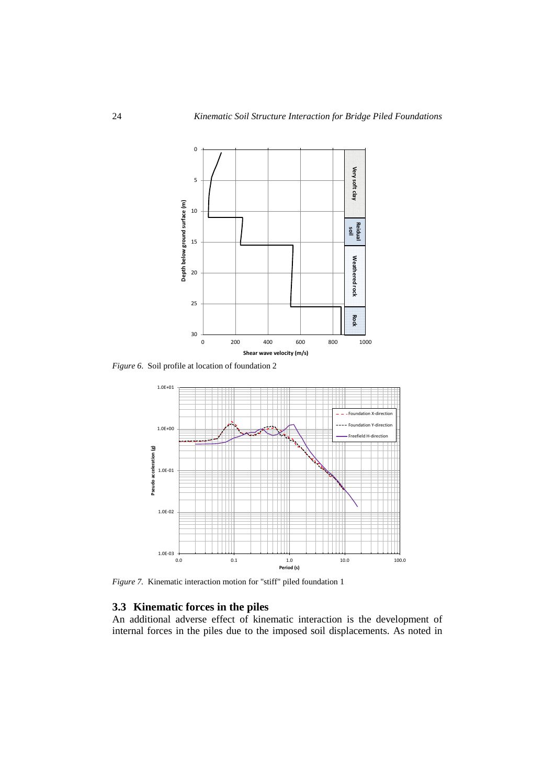

<span id="page-9-0"></span>*Figure 6*. Soil profile at location of foundation 2



<span id="page-9-1"></span>*Figure 7.* Kinematic interaction motion for "stiff" piled foundation 1

### **3.3 Kinematic forces in the piles**

An additional adverse effect of kinematic interaction is the development of internal forces in the piles due to the imposed soil displacements. As noted in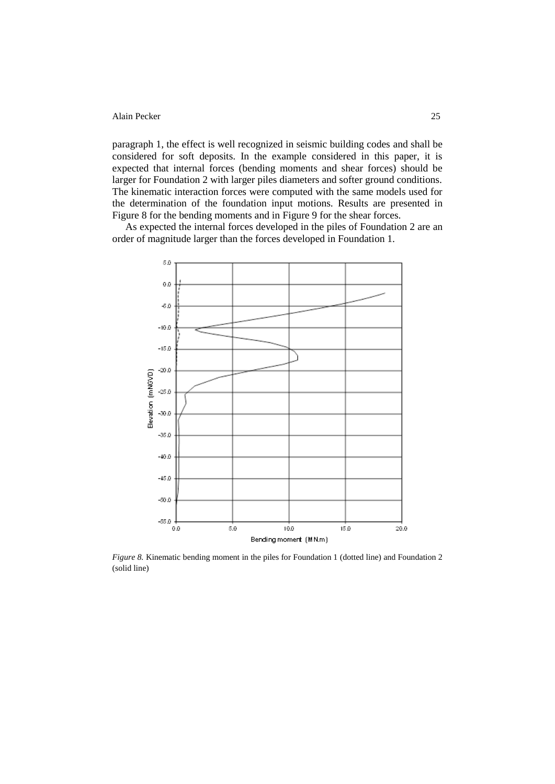paragraph [1,](#page-0-0) the effect is well recognized in seismic building codes and shall be considered for soft deposits. In the example considered in this paper, it is expected that internal forces (bending moments and shear forces) should be larger for Foundation 2 with larger piles diameters and softer ground conditions. The kinematic interaction forces were computed with the same models used for the determination of the foundation input motions. Results are presented in [Figure 8](#page-10-0) for the bending moments and in [Figure 9](#page-11-0) for the shear forces.

As expected the internal forces developed in the piles of Foundation 2 are an order of magnitude larger than the forces developed in Foundation 1.



<span id="page-10-0"></span>*Figure 8.* Kinematic bending moment in the piles for Foundation 1 (dotted line) and Foundation 2 (solid line)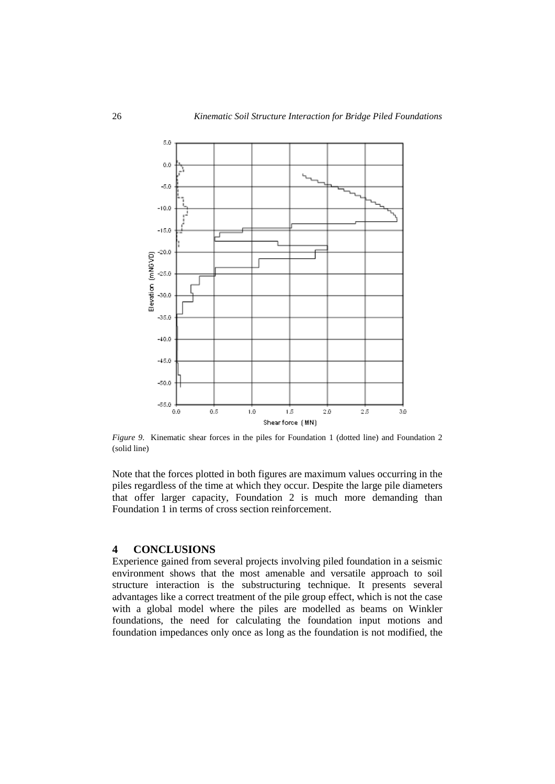

<span id="page-11-0"></span>*Figure 9.* Kinematic shear forces in the piles for Foundation 1 (dotted line) and Foundation 2 (solid line)

Note that the forces plotted in both figures are maximum values occurring in the piles regardless of the time at which they occur. Despite the large pile diameters that offer larger capacity, Foundation 2 is much more demanding than Foundation 1 in terms of cross section reinforcement.

### **4 CONCLUSIONS**

Experience gained from several projects involving piled foundation in a seismic environment shows that the most amenable and versatile approach to soil structure interaction is the substructuring technique. It presents several advantages like a correct treatment of the pile group effect, which is not the case with a global model where the piles are modelled as beams on Winkler foundations, the need for calculating the foundation input motions and foundation impedances only once as long as the foundation is not modified, the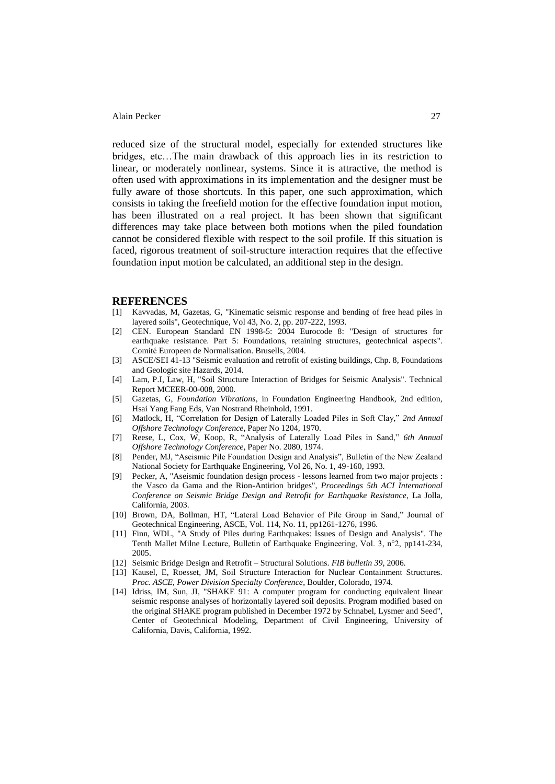reduced size of the structural model, especially for extended structures like bridges, etc…The main drawback of this approach lies in its restriction to linear, or moderately nonlinear, systems. Since it is attractive, the method is often used with approximations in its implementation and the designer must be fully aware of those shortcuts. In this paper, one such approximation, which consists in taking the freefield motion for the effective foundation input motion, has been illustrated on a real project. It has been shown that significant differences may take place between both motions when the piled foundation cannot be considered flexible with respect to the soil profile. If this situation is faced, rigorous treatment of soil-structure interaction requires that the effective foundation input motion be calculated, an additional step in the design.

#### **REFERENCES**

- <span id="page-12-0"></span>[1] Kavvadas, M, Gazetas, G, "Kinematic seismic response and bending of free head piles in layered soils", Geotechnique, Vol 43, No. 2, pp. 207-222, 1993.
- <span id="page-12-1"></span>[2] CEN. European Standard EN 1998-5: 2004 Eurocode 8: "Design of structures for earthquake resistance. Part 5: Foundations, retaining structures, geotechnical aspects". Comité Europeen de Normalisation. Brusells, 2004.
- <span id="page-12-2"></span>[3] ASCE/SEI 41-13 "Seismic evaluation and retrofit of existing buildings, Chp. 8, Foundations and Geologic site Hazards, 2014.
- <span id="page-12-3"></span>[4] Lam, P.I, Law, H, "Soil Structure Interaction of Bridges for Seismic Analysis". Technical Report MCEER-00-008, 2000.
- <span id="page-12-11"></span>[5] Gazetas, G, *Foundation Vibrations*, in Foundation Engineering Handbook, 2nd edition, Hsai Yang Fang Eds, Van Nostrand Rheinhold, 1991.
- <span id="page-12-4"></span>[6] Matlock, H, "Correlation for Design of Laterally Loaded Piles in Soft Clay," *2nd Annual Offshore Technology Conference*, Paper No 1204, 1970.
- <span id="page-12-5"></span>[7] Reese, L, Cox, W, Koop, R, "Analysis of Laterally Load Piles in Sand," *6th Annual Offshore Technology Conference*, Paper No. 2080, 1974.
- <span id="page-12-6"></span>[8] Pender, MJ, "Aseismic Pile Foundation Design and Analysis", Bulletin of the New Zealand National Society for Earthquake Engineering, Vol 26, No. 1, 49-160, 1993.
- <span id="page-12-7"></span>[9] Pecker, A, "Aseismic foundation design process - lessons learned from two major projects : the Vasco da Gama and the Rion-Antirion bridges", *Proceedings 5th ACI International Conference on Seismic Bridge Design and Retrofit for Earthquake Resistance*, La Jolla, California, 2003.
- <span id="page-12-8"></span>[10] Brown, DA, Bollman, HT, "Lateral Load Behavior of Pile Group in Sand," Journal of Geotechnical Engineering, ASCE, Vol. 114, No. 11, pp1261-1276, 1996.
- <span id="page-12-9"></span>[11] Finn, WDL, "A Study of Piles during Earthquakes: Issues of Design and Analysis". The Tenth Mallet Milne Lecture, Bulletin of Earthquake Engineering, Vol. 3, n°2, pp141-234, 2005.
- <span id="page-12-10"></span>[12] Seismic Bridge Design and Retrofit – Structural Solutions. *FIB bulletin 39*, 2006.
- <span id="page-12-12"></span>[13] Kausel, E, Roesset, JM, Soil Structure Interaction for Nuclear Containment Structures. *Proc. ASCE, Power Division Specialty Conference*, Boulder, Colorado, 1974.
- [14] Idriss, IM, Sun, JI, "SHAKE 91: A computer program for conducting equivalent linear seismic response analyses of horizontally layered soil deposits. Program modified based on the original SHAKE program published in December 1972 by Schnabel, Lysmer and Seed", Center of Geotechnical Modeling, Department of Civil Engineering, University of California, Davis, California, 1992.